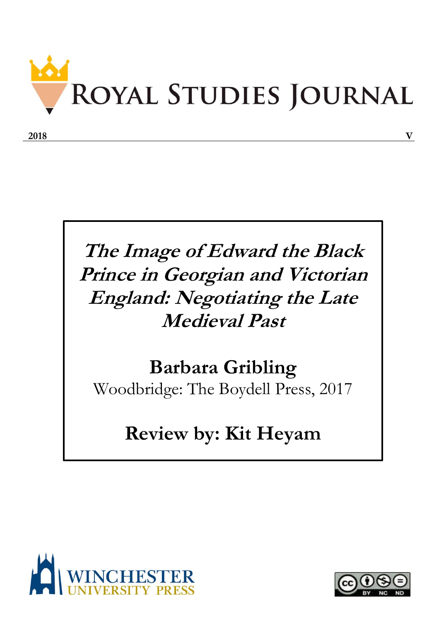

## **The Image of Edward the Black Prince in Georgian and Victorian England: Negotiating the Late Medieval Past**

## **Barbara Gribling**

Woodbridge: The Boydell Press, 2017

## **Review by: Kit Heyam**



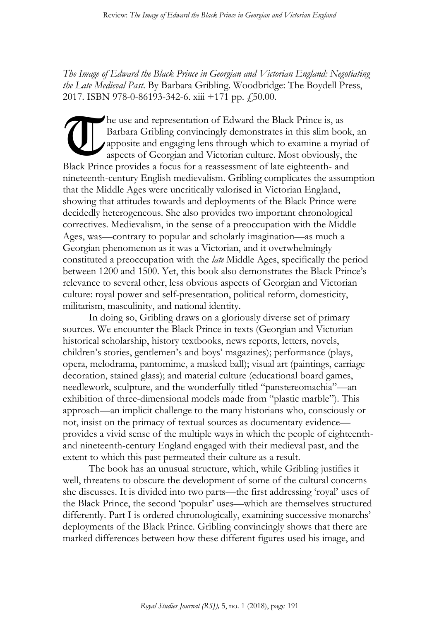*The Image of Edward the Black Prince in Georgian and Victorian England: Negotiating the Late Medieval Past*. By Barbara Gribling. Woodbridge: The Boydell Press, 2017. ISBN 978-0-86193-342-6. xiii +171 pp.  $\ddot{=}$ , 50.00.

he use and representation of Edward the Black Prince is, as Barbara Gribling convincingly demonstrates in this slim book, an apposite and engaging lens through which to examine a myriad of aspects of Georgian and Victorian culture. Most obviously, the Black Prince provides a focus for a reassessment of late eighteenth- and nineteenth-century English medievalism. Gribling complicates the assumption that the Middle Ages were uncritically valorised in Victorian England, showing that attitudes towards and deployments of the Black Prince were decidedly heterogeneous. She also provides two important chronological correctives. Medievalism, in the sense of a preoccupation with the Middle Ages, was—contrary to popular and scholarly imagination—as much a Georgian phenomenon as it was a Victorian, and it overwhelmingly constituted a preoccupation with the *late* Middle Ages, specifically the period between 1200 and 1500. Yet, this book also demonstrates the Black Prince's relevance to several other, less obvious aspects of Georgian and Victorian culture: royal power and self-presentation, political reform, domesticity, militarism, masculinity, and national identity. U

In doing so, Gribling draws on a gloriously diverse set of primary sources. We encounter the Black Prince in texts (Georgian and Victorian historical scholarship, history textbooks, news reports, letters, novels, children's stories, gentlemen's and boys' magazines); performance (plays, opera, melodrama, pantomime, a masked ball); visual art (paintings, carriage decoration, stained glass); and material culture (educational board games, needlework, sculpture, and the wonderfully titled "panstereomachia"—an exhibition of three-dimensional models made from "plastic marble"). This approach—an implicit challenge to the many historians who, consciously or not, insist on the primacy of textual sources as documentary evidence provides a vivid sense of the multiple ways in which the people of eighteenthand nineteenth-century England engaged with their medieval past, and the extent to which this past permeated their culture as a result.

The book has an unusual structure, which, while Gribling justifies it well, threatens to obscure the development of some of the cultural concerns she discusses. It is divided into two parts—the first addressing 'royal' uses of the Black Prince, the second 'popular' uses—which are themselves structured differently. Part I is ordered chronologically, examining successive monarchs' deployments of the Black Prince. Gribling convincingly shows that there are marked differences between how these different figures used his image, and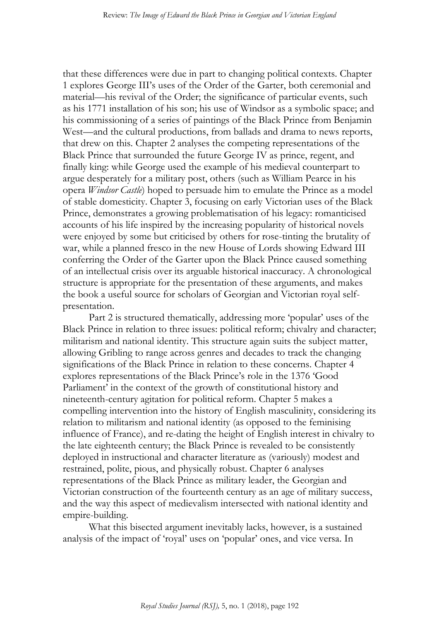that these differences were due in part to changing political contexts. Chapter 1 explores George III's uses of the Order of the Garter, both ceremonial and material—his revival of the Order; the significance of particular events, such as his 1771 installation of his son; his use of Windsor as a symbolic space; and his commissioning of a series of paintings of the Black Prince from Benjamin West—and the cultural productions, from ballads and drama to news reports, that drew on this. Chapter 2 analyses the competing representations of the Black Prince that surrounded the future George IV as prince, regent, and finally king: while George used the example of his medieval counterpart to argue desperately for a military post, others (such as William Pearce in his opera *Windsor Castle*) hoped to persuade him to emulate the Prince as a model of stable domesticity. Chapter 3, focusing on early Victorian uses of the Black Prince, demonstrates a growing problematisation of his legacy: romanticised accounts of his life inspired by the increasing popularity of historical novels were enjoyed by some but criticised by others for rose-tinting the brutality of war, while a planned fresco in the new House of Lords showing Edward III conferring the Order of the Garter upon the Black Prince caused something of an intellectual crisis over its arguable historical inaccuracy. A chronological structure is appropriate for the presentation of these arguments, and makes the book a useful source for scholars of Georgian and Victorian royal selfpresentation.

Part 2 is structured thematically, addressing more 'popular' uses of the Black Prince in relation to three issues: political reform; chivalry and character; militarism and national identity. This structure again suits the subject matter, allowing Gribling to range across genres and decades to track the changing significations of the Black Prince in relation to these concerns. Chapter 4 explores representations of the Black Prince's role in the 1376 'Good Parliament' in the context of the growth of constitutional history and nineteenth-century agitation for political reform. Chapter 5 makes a compelling intervention into the history of English masculinity, considering its relation to militarism and national identity (as opposed to the feminising influence of France), and re-dating the height of English interest in chivalry to the late eighteenth century; the Black Prince is revealed to be consistently deployed in instructional and character literature as (variously) modest and restrained, polite, pious, and physically robust. Chapter 6 analyses representations of the Black Prince as military leader, the Georgian and Victorian construction of the fourteenth century as an age of military success, and the way this aspect of medievalism intersected with national identity and empire-building.

What this bisected argument inevitably lacks, however, is a sustained analysis of the impact of 'royal' uses on 'popular' ones, and vice versa. In